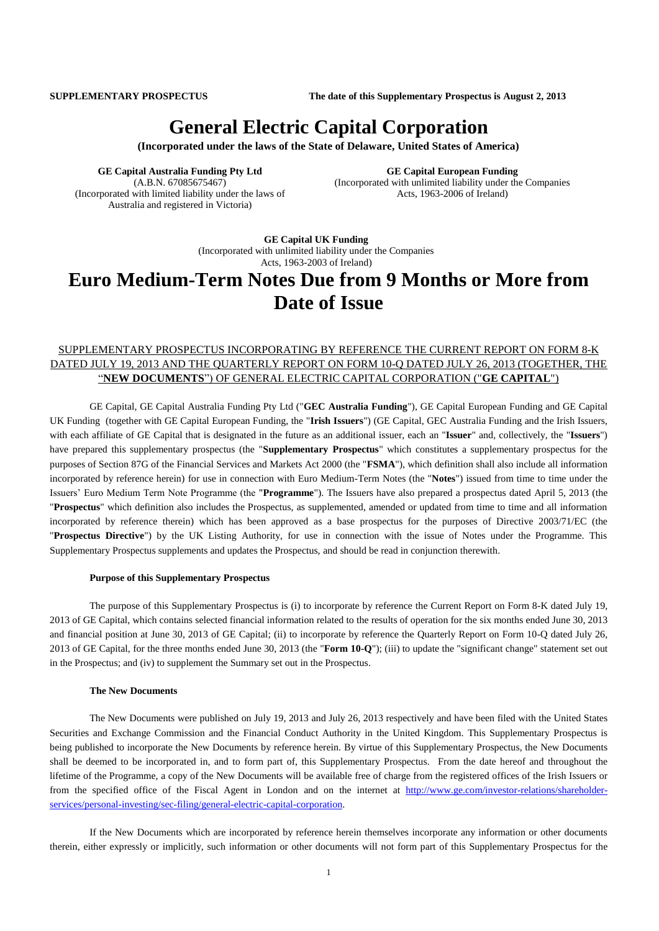**SUPPLEMENTARY PROSPECTUS The date of this Supplementary Prospectus is August 2, 2013**

# **General Electric Capital Corporation**

**(Incorporated under the laws of the State of Delaware, United States of America)**

**GE Capital Australia Funding Pty Ltd** (A.B.N. 67085675467) (Incorporated with limited liability under the laws of Australia and registered in Victoria)

**GE Capital European Funding** (Incorporated with unlimited liability under the Companies Acts, 1963-2006 of Ireland)

**GE Capital UK Funding** (Incorporated with unlimited liability under the Companies Acts, 1963-2003 of Ireland)

# **Euro Medium-Term Notes Due from 9 Months or More from Date of Issue**

# SUPPLEMENTARY PROSPECTUS INCORPORATING BY REFERENCE THE CURRENT REPORT ON FORM 8-K DATED JULY 19, 2013 AND THE QUARTERLY REPORT ON FORM 10-Q DATED JULY 26, 2013 (TOGETHER, THE "**NEW DOCUMENTS**") OF GENERAL ELECTRIC CAPITAL CORPORATION ("**GE CAPITAL**")

GE Capital, GE Capital Australia Funding Pty Ltd ("**GEC Australia Funding**"), GE Capital European Funding and GE Capital UK Funding (together with GE Capital European Funding, the "**Irish Issuers**") (GE Capital, GEC Australia Funding and the Irish Issuers, with each affiliate of GE Capital that is designated in the future as an additional issuer, each an "**Issuer**" and, collectively, the "**Issuers**") have prepared this supplementary prospectus (the "**Supplementary Prospectus**" which constitutes a supplementary prospectus for the purposes of Section 87G of the Financial Services and Markets Act 2000 (the "**FSMA**"), which definition shall also include all information incorporated by reference herein) for use in connection with Euro Medium-Term Notes (the "**Notes**") issued from time to time under the Issuers' Euro Medium Term Note Programme (the "**Programme**"). The Issuers have also prepared a prospectus dated April 5, 2013 (the "**Prospectus**" which definition also includes the Prospectus, as supplemented, amended or updated from time to time and all information incorporated by reference therein) which has been approved as a base prospectus for the purposes of Directive 2003/71/EC (the "**Prospectus Directive**") by the UK Listing Authority, for use in connection with the issue of Notes under the Programme. This Supplementary Prospectus supplements and updates the Prospectus, and should be read in conjunction therewith.

#### **Purpose of this Supplementary Prospectus**

The purpose of this Supplementary Prospectus is (i) to incorporate by reference the Current Report on Form 8-K dated July 19, 2013 of GE Capital, which contains selected financial information related to the results of operation for the six months ended June 30, 2013 and financial position at June 30, 2013 of GE Capital; (ii) to incorporate by reference the Quarterly Report on Form 10-Q dated July 26, 2013 of GE Capital, for the three months ended June 30, 2013 (the "**Form 10-Q**"); (iii) to update the "significant change" statement set out in the Prospectus; and (iv) to supplement the Summary set out in the Prospectus.

#### **The New Documents**

The New Documents were published on July 19, 2013 and July 26, 2013 respectively and have been filed with the United States Securities and Exchange Commission and the Financial Conduct Authority in the United Kingdom. This Supplementary Prospectus is being published to incorporate the New Documents by reference herein. By virtue of this Supplementary Prospectus, the New Documents shall be deemed to be incorporated in, and to form part of, this Supplementary Prospectus. From the date hereof and throughout the lifetime of the Programme, a copy of the New Documents will be available free of charge from the registered offices of the Irish Issuers or from the specified office of the Fiscal Agent in London and on the internet at [http://www.ge.com/investor-relations/shareholder](http://www.ge.com/investor-relations/shareholder-services/personal-investing/sec-filing/general-electric-capital-corporation)[services/personal-investing/sec-filing/general-electric-capital-corporation.](http://www.ge.com/investor-relations/shareholder-services/personal-investing/sec-filing/general-electric-capital-corporation)

If the New Documents which are incorporated by reference herein themselves incorporate any information or other documents therein, either expressly or implicitly, such information or other documents will not form part of this Supplementary Prospectus for the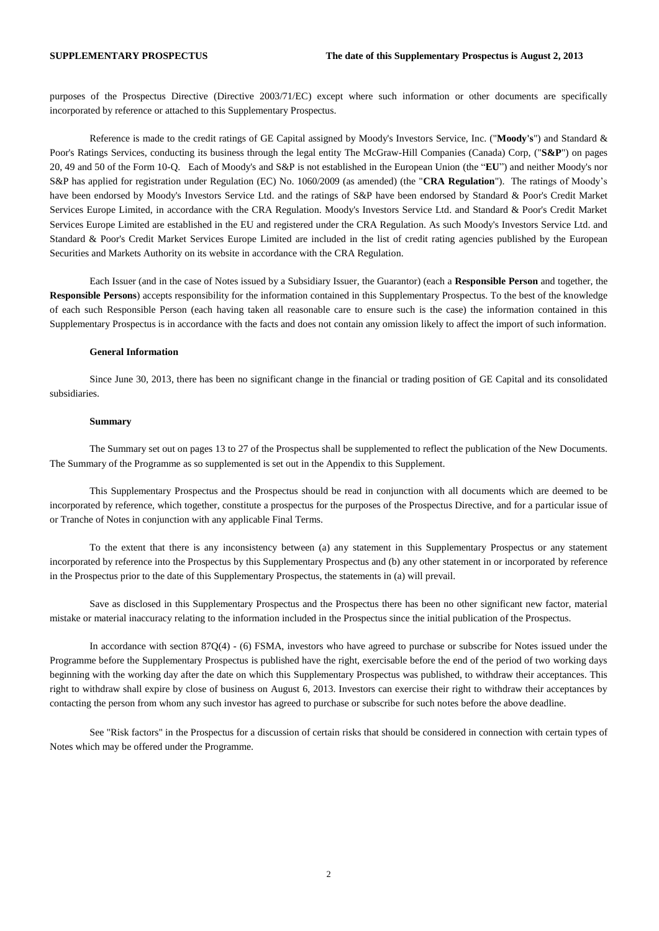purposes of the Prospectus Directive (Directive 2003/71/EC) except where such information or other documents are specifically incorporated by reference or attached to this Supplementary Prospectus.

Reference is made to the credit ratings of GE Capital assigned by Moody's Investors Service, Inc. ("**Moody's**") and Standard & Poor's Ratings Services, conducting its business through the legal entity The McGraw-Hill Companies (Canada) Corp, ("**S&P**") on pages 20, 49 and 50 of the Form 10-Q. Each of Moody's and S&P is not established in the European Union (the "**EU**") and neither Moody's nor S&P has applied for registration under Regulation (EC) No. 1060/2009 (as amended) (the "**CRA Regulation**"). The ratings of Moody's have been endorsed by Moody's Investors Service Ltd. and the ratings of S&P have been endorsed by Standard & Poor's Credit Market Services Europe Limited, in accordance with the CRA Regulation. Moody's Investors Service Ltd. and Standard & Poor's Credit Market Services Europe Limited are established in the EU and registered under the CRA Regulation. As such Moody's Investors Service Ltd. and Standard & Poor's Credit Market Services Europe Limited are included in the list of credit rating agencies published by the European Securities and Markets Authority on its website in accordance with the CRA Regulation.

Each Issuer (and in the case of Notes issued by a Subsidiary Issuer, the Guarantor) (each a **Responsible Person** and together, the **Responsible Persons**) accepts responsibility for the information contained in this Supplementary Prospectus. To the best of the knowledge of each such Responsible Person (each having taken all reasonable care to ensure such is the case) the information contained in this Supplementary Prospectus is in accordance with the facts and does not contain any omission likely to affect the import of such information.

#### **General Information**

Since June 30, 2013, there has been no significant change in the financial or trading position of GE Capital and its consolidated subsidiaries.

#### **Summary**

The Summary set out on pages 13 to 27 of the Prospectus shall be supplemented to reflect the publication of the New Documents. The Summary of the Programme as so supplemented is set out in the Appendix to this Supplement.

This Supplementary Prospectus and the Prospectus should be read in conjunction with all documents which are deemed to be incorporated by reference, which together, constitute a prospectus for the purposes of the Prospectus Directive, and for a particular issue of or Tranche of Notes in conjunction with any applicable Final Terms.

To the extent that there is any inconsistency between (a) any statement in this Supplementary Prospectus or any statement incorporated by reference into the Prospectus by this Supplementary Prospectus and (b) any other statement in or incorporated by reference in the Prospectus prior to the date of this Supplementary Prospectus, the statements in (a) will prevail.

Save as disclosed in this Supplementary Prospectus and the Prospectus there has been no other significant new factor, material mistake or material inaccuracy relating to the information included in the Prospectus since the initial publication of the Prospectus.

In accordance with section 87Q(4) - (6) FSMA, investors who have agreed to purchase or subscribe for Notes issued under the Programme before the Supplementary Prospectus is published have the right, exercisable before the end of the period of two working days beginning with the working day after the date on which this Supplementary Prospectus was published, to withdraw their acceptances. This right to withdraw shall expire by close of business on August 6, 2013. Investors can exercise their right to withdraw their acceptances by contacting the person from whom any such investor has agreed to purchase or subscribe for such notes before the above deadline.

See "Risk factors" in the Prospectus for a discussion of certain risks that should be considered in connection with certain types of Notes which may be offered under the Programme.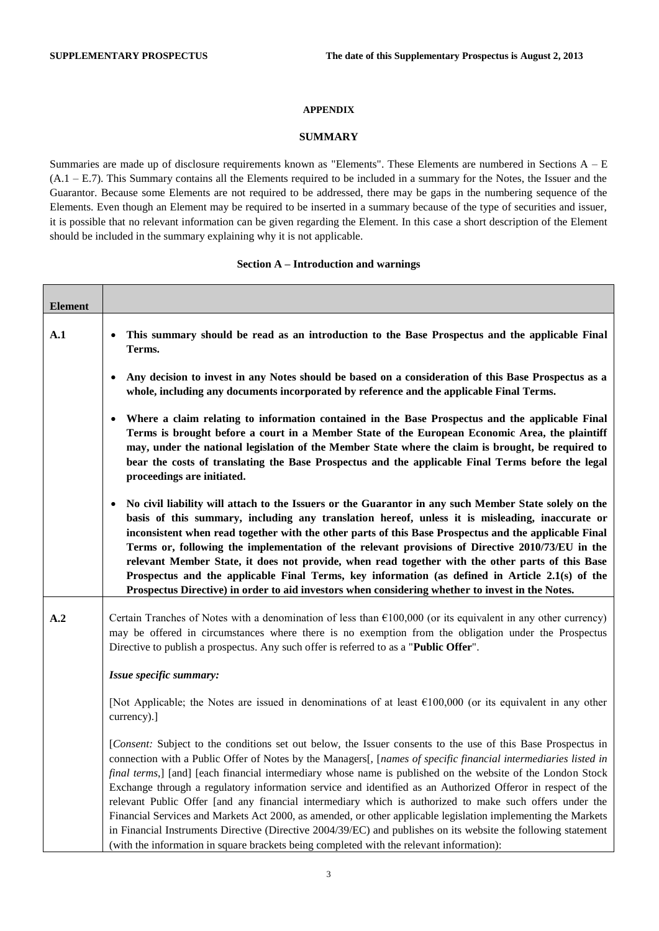### **APPENDIX**

### **SUMMARY**

Summaries are made up of disclosure requirements known as "Elements". These Elements are numbered in Sections A – E (A.1 – E.7). This Summary contains all the Elements required to be included in a summary for the Notes, the Issuer and the Guarantor. Because some Elements are not required to be addressed, there may be gaps in the numbering sequence of the Elements. Even though an Element may be required to be inserted in a summary because of the type of securities and issuer, it is possible that no relevant information can be given regarding the Element. In this case a short description of the Element should be included in the summary explaining why it is not applicable.

### **Section A – Introduction and warnings**

| <b>Element</b> |                                                                                                                                                                                                                                                                                                                                                                                                                                                                                                                                                                                                                                                                                                                                                                                                                                                                                                         |
|----------------|---------------------------------------------------------------------------------------------------------------------------------------------------------------------------------------------------------------------------------------------------------------------------------------------------------------------------------------------------------------------------------------------------------------------------------------------------------------------------------------------------------------------------------------------------------------------------------------------------------------------------------------------------------------------------------------------------------------------------------------------------------------------------------------------------------------------------------------------------------------------------------------------------------|
| A.1            | This summary should be read as an introduction to the Base Prospectus and the applicable Final<br>Terms.                                                                                                                                                                                                                                                                                                                                                                                                                                                                                                                                                                                                                                                                                                                                                                                                |
|                | Any decision to invest in any Notes should be based on a consideration of this Base Prospectus as a<br>whole, including any documents incorporated by reference and the applicable Final Terms.                                                                                                                                                                                                                                                                                                                                                                                                                                                                                                                                                                                                                                                                                                         |
|                | Where a claim relating to information contained in the Base Prospectus and the applicable Final<br>Terms is brought before a court in a Member State of the European Economic Area, the plaintiff<br>may, under the national legislation of the Member State where the claim is brought, be required to<br>bear the costs of translating the Base Prospectus and the applicable Final Terms before the legal<br>proceedings are initiated.                                                                                                                                                                                                                                                                                                                                                                                                                                                              |
|                | No civil liability will attach to the Issuers or the Guarantor in any such Member State solely on the<br>$\bullet$<br>basis of this summary, including any translation hereof, unless it is misleading, inaccurate or<br>inconsistent when read together with the other parts of this Base Prospectus and the applicable Final<br>Terms or, following the implementation of the relevant provisions of Directive 2010/73/EU in the<br>relevant Member State, it does not provide, when read together with the other parts of this Base<br>Prospectus and the applicable Final Terms, key information (as defined in Article 2.1(s) of the<br>Prospectus Directive) in order to aid investors when considering whether to invest in the Notes.                                                                                                                                                           |
| A <sub>2</sub> | Certain Tranches of Notes with a denomination of less than $£100,000$ (or its equivalent in any other currency)<br>may be offered in circumstances where there is no exemption from the obligation under the Prospectus<br>Directive to publish a prospectus. Any such offer is referred to as a "Public Offer".                                                                                                                                                                                                                                                                                                                                                                                                                                                                                                                                                                                        |
|                | Issue specific summary:                                                                                                                                                                                                                                                                                                                                                                                                                                                                                                                                                                                                                                                                                                                                                                                                                                                                                 |
|                | [Not Applicable; the Notes are issued in denominations of at least $\epsilon$ 100,000 (or its equivalent in any other<br>currency).]                                                                                                                                                                                                                                                                                                                                                                                                                                                                                                                                                                                                                                                                                                                                                                    |
|                | [Consent: Subject to the conditions set out below, the Issuer consents to the use of this Base Prospectus in<br>connection with a Public Offer of Notes by the Managers[, [names of specific financial intermediaries listed in<br>final terms,] [and] [each financial intermediary whose name is published on the website of the London Stock<br>Exchange through a regulatory information service and identified as an Authorized Offeror in respect of the<br>relevant Public Offer [and any financial intermediary which is authorized to make such offers under the<br>Financial Services and Markets Act 2000, as amended, or other applicable legislation implementing the Markets<br>in Financial Instruments Directive (Directive 2004/39/EC) and publishes on its website the following statement<br>(with the information in square brackets being completed with the relevant information): |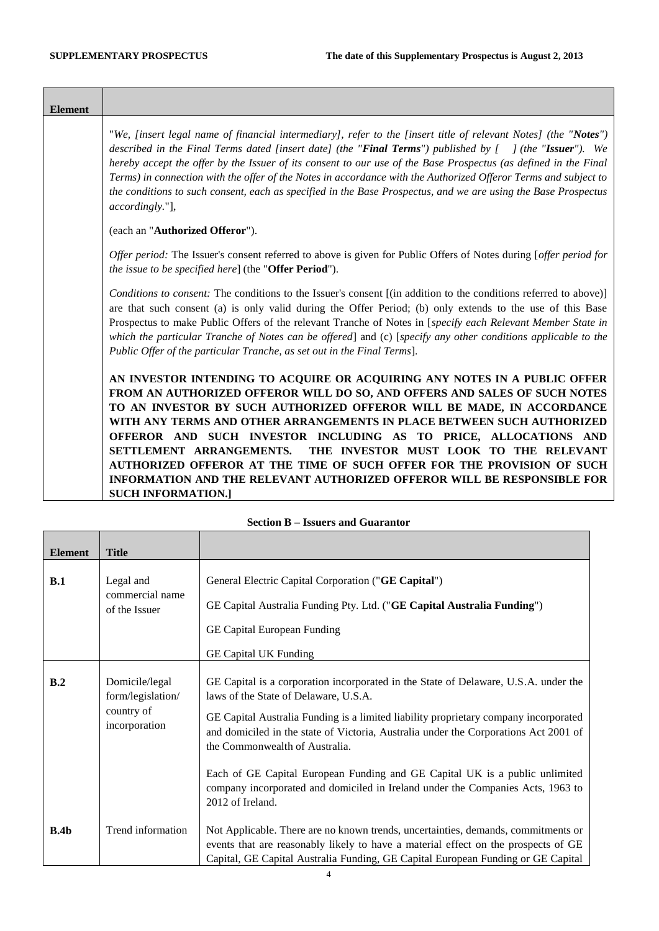<u> Tanzania (h. 1888).</u>

<u> Tanzania (h. 1878).</u>

| <b>Element</b> |                                                                                                                                                                                                                                                                                                                                                                                                                                                                                                                                                                                                                                              |
|----------------|----------------------------------------------------------------------------------------------------------------------------------------------------------------------------------------------------------------------------------------------------------------------------------------------------------------------------------------------------------------------------------------------------------------------------------------------------------------------------------------------------------------------------------------------------------------------------------------------------------------------------------------------|
|                | "We, [insert legal name of financial intermediary], refer to the [insert title of relevant Notes] (the "Notes")<br>described in the Final Terms dated [insert date] (the "Final Terms") published by $\int$ (the "Issuer"). We<br>hereby accept the offer by the Issuer of its consent to our use of the Base Prospectus (as defined in the Final<br>Terms) in connection with the offer of the Notes in accordance with the Authorized Offeror Terms and subject to<br>the conditions to such consent, each as specified in the Base Prospectus, and we are using the Base Prospectus<br>accordingly."],                                    |
|                | (each an "Authorized Offeror").                                                                                                                                                                                                                                                                                                                                                                                                                                                                                                                                                                                                              |
|                | Offer period: The Issuer's consent referred to above is given for Public Offers of Notes during [offer period for<br>the issue to be specified here] (the "Offer Period").                                                                                                                                                                                                                                                                                                                                                                                                                                                                   |
|                | Conditions to consent: The conditions to the Issuer's consent [(in addition to the conditions referred to above)]<br>are that such consent (a) is only valid during the Offer Period; (b) only extends to the use of this Base<br>Prospectus to make Public Offers of the relevant Tranche of Notes in [specify each Relevant Member State in<br>which the particular Tranche of Notes can be offered] and (c) [specify any other conditions applicable to the<br>Public Offer of the particular Tranche, as set out in the Final Terms].                                                                                                    |
|                | AN INVESTOR INTENDING TO ACQUIRE OR ACQUIRING ANY NOTES IN A PUBLIC OFFER<br>FROM AN AUTHORIZED OFFEROR WILL DO SO, AND OFFERS AND SALES OF SUCH NOTES<br>TO AN INVESTOR BY SUCH AUTHORIZED OFFEROR WILL BE MADE, IN ACCORDANCE<br>WITH ANY TERMS AND OTHER ARRANGEMENTS IN PLACE BETWEEN SUCH AUTHORIZED<br>OFFEROR AND SUCH INVESTOR INCLUDING AS TO PRICE, ALLOCATIONS AND<br>THE INVESTOR MUST LOOK TO THE RELEVANT<br>SETTLEMENT ARRANGEMENTS.<br>AUTHORIZED OFFEROR AT THE TIME OF SUCH OFFER FOR THE PROVISION OF SUCH<br><b>INFORMATION AND THE RELEVANT AUTHORIZED OFFEROR WILL BE RESPONSIBLE FOR</b><br><b>SUCH INFORMATION.1</b> |

<span id="page-3-0"></span>

| <b>Element</b> | <b>Title</b>                                                       |                                                                                                                                                                                                                                                                                                                                                                                                                                                                                                                                      |
|----------------|--------------------------------------------------------------------|--------------------------------------------------------------------------------------------------------------------------------------------------------------------------------------------------------------------------------------------------------------------------------------------------------------------------------------------------------------------------------------------------------------------------------------------------------------------------------------------------------------------------------------|
| B.1            | Legal and<br>commercial name<br>of the Issuer                      | General Electric Capital Corporation ("GE Capital")<br>GE Capital Australia Funding Pty. Ltd. ("GE Capital Australia Funding")<br>GE Capital European Funding<br><b>GE Capital UK Funding</b>                                                                                                                                                                                                                                                                                                                                        |
| B.2            | Domicile/legal<br>form/legislation/<br>country of<br>incorporation | GE Capital is a corporation incorporated in the State of Delaware, U.S.A. under the<br>laws of the State of Delaware, U.S.A.<br>GE Capital Australia Funding is a limited liability proprietary company incorporated<br>and domiciled in the state of Victoria, Australia under the Corporations Act 2001 of<br>the Commonwealth of Australia.<br>Each of GE Capital European Funding and GE Capital UK is a public unlimited<br>company incorporated and domiciled in Ireland under the Companies Acts, 1963 to<br>2012 of Ireland. |
| B.4b           | Trend information                                                  | Not Applicable. There are no known trends, uncertainties, demands, commitments or<br>events that are reasonably likely to have a material effect on the prospects of GE<br>Capital, GE Capital Australia Funding, GE Capital European Funding or GE Capital                                                                                                                                                                                                                                                                          |

# **Section B – Issuers and Guarantor**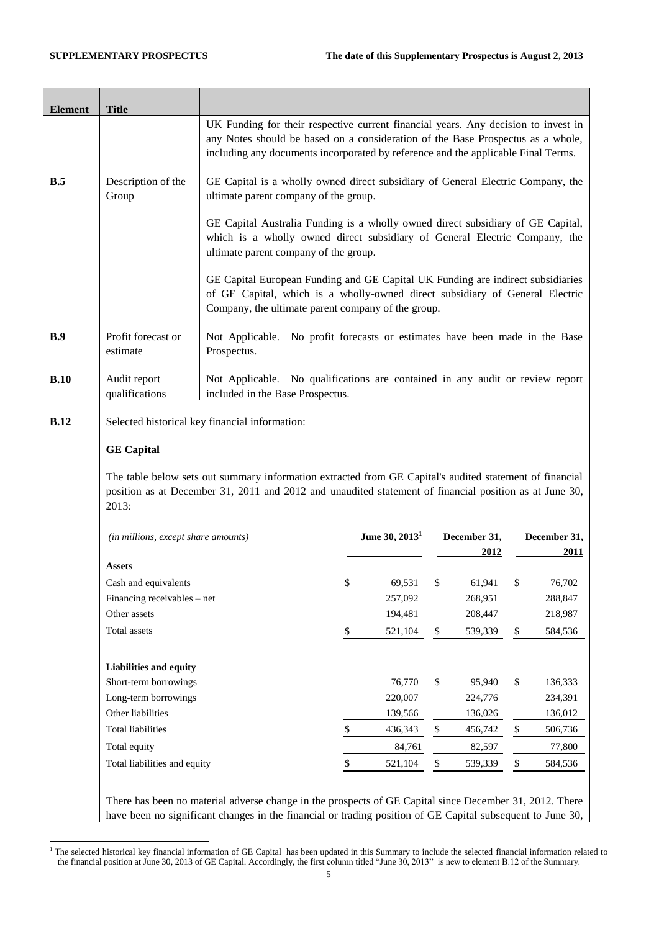| <b>Element</b> | <b>Title</b>                        |                                                                                                                                                                                                                                                            |                                                                                                                          |                                                             |               |         |    |         |
|----------------|-------------------------------------|------------------------------------------------------------------------------------------------------------------------------------------------------------------------------------------------------------------------------------------------------------|--------------------------------------------------------------------------------------------------------------------------|-------------------------------------------------------------|---------------|---------|----|---------|
|                |                                     | UK Funding for their respective current financial years. Any decision to invest in<br>any Notes should be based on a consideration of the Base Prospectus as a whole,<br>including any documents incorporated by reference and the applicable Final Terms. |                                                                                                                          |                                                             |               |         |    |         |
| B.5            | Description of the<br>Group         |                                                                                                                                                                                                                                                            | GE Capital is a wholly owned direct subsidiary of General Electric Company, the<br>ultimate parent company of the group. |                                                             |               |         |    |         |
|                |                                     | GE Capital Australia Funding is a wholly owned direct subsidiary of GE Capital,<br>which is a wholly owned direct subsidiary of General Electric Company, the<br>ultimate parent company of the group.                                                     |                                                                                                                          |                                                             |               |         |    |         |
|                |                                     | GE Capital European Funding and GE Capital UK Funding are indirect subsidiaries<br>of GE Capital, which is a wholly-owned direct subsidiary of General Electric<br>Company, the ultimate parent company of the group.                                      |                                                                                                                          |                                                             |               |         |    |         |
| B.9            | Profit forecast or<br>estimate      | Not Applicable.<br>Prospectus.                                                                                                                                                                                                                             |                                                                                                                          | No profit forecasts or estimates have been made in the Base |               |         |    |         |
| B.10           | Audit report<br>qualifications      | Not Applicable. No qualifications are contained in any audit or review report<br>included in the Base Prospectus.                                                                                                                                          |                                                                                                                          |                                                             |               |         |    |         |
| B.12           |                                     | Selected historical key financial information:                                                                                                                                                                                                             |                                                                                                                          |                                                             |               |         |    |         |
|                | <b>GE Capital</b>                   |                                                                                                                                                                                                                                                            |                                                                                                                          |                                                             |               |         |    |         |
|                | 2013:                               | The table below sets out summary information extracted from GE Capital's audited statement of financial<br>position as at December 31, 2011 and 2012 and unaudited statement of financial position as at June 30,                                          |                                                                                                                          |                                                             |               |         |    |         |
|                | (in millions, except share amounts) | June 30, 2013 <sup>1</sup><br>December 31,<br>December 31,<br>2012                                                                                                                                                                                         |                                                                                                                          |                                                             | 2011          |         |    |         |
|                | <b>Assets</b>                       |                                                                                                                                                                                                                                                            |                                                                                                                          |                                                             |               |         |    |         |
|                | Cash and equivalents                |                                                                                                                                                                                                                                                            | \$                                                                                                                       | 69,531                                                      | $\mathcal{S}$ | 61,941  | \$ | 76,702  |
|                | Financing receivables – net         |                                                                                                                                                                                                                                                            |                                                                                                                          | 257,092                                                     |               | 268,951 |    | 288,847 |
|                | Other assets                        |                                                                                                                                                                                                                                                            |                                                                                                                          | 194,481                                                     |               | 208,447 |    | 218,987 |
|                | Total assets                        |                                                                                                                                                                                                                                                            | \$                                                                                                                       | 521,104                                                     | \$            | 539,339 | \$ | 584,536 |
|                | <b>Liabilities and equity</b>       |                                                                                                                                                                                                                                                            |                                                                                                                          |                                                             |               |         |    |         |
|                | Short-term borrowings               |                                                                                                                                                                                                                                                            |                                                                                                                          | 76,770                                                      | \$            | 95,940  | \$ | 136,333 |
|                | Long-term borrowings                |                                                                                                                                                                                                                                                            |                                                                                                                          | 220,007                                                     |               | 224,776 |    | 234,391 |
|                | Other liabilities                   |                                                                                                                                                                                                                                                            |                                                                                                                          | 139,566                                                     |               | 136,026 |    | 136,012 |
|                | <b>Total liabilities</b>            |                                                                                                                                                                                                                                                            | \$                                                                                                                       | 436,343                                                     | \$            | 456,742 | \$ | 506,736 |
|                | Total equity                        |                                                                                                                                                                                                                                                            |                                                                                                                          | 84,761                                                      |               | 82,597  |    | 77,800  |
|                | Total liabilities and equity        |                                                                                                                                                                                                                                                            | \$                                                                                                                       | 521,104                                                     | \$            | 539,339 | \$ | 584,536 |
|                |                                     | There has been no material adverse change in the prospects of GE Capital since December 31, 2012. There<br>have been no significant changes in the financial or trading position of GE Capital subsequent to June 30,                                      |                                                                                                                          |                                                             |               |         |    |         |

<sup>-</sup> $<sup>1</sup>$  The selected historical key financial information of GE Capital has been updated in this Summary to include the selected financial information related to</sup> the financial position at June 30, 2013 of GE Capital. Accordingly, the first column titled "June 30, 2013" is new to element B.12 of the Summary.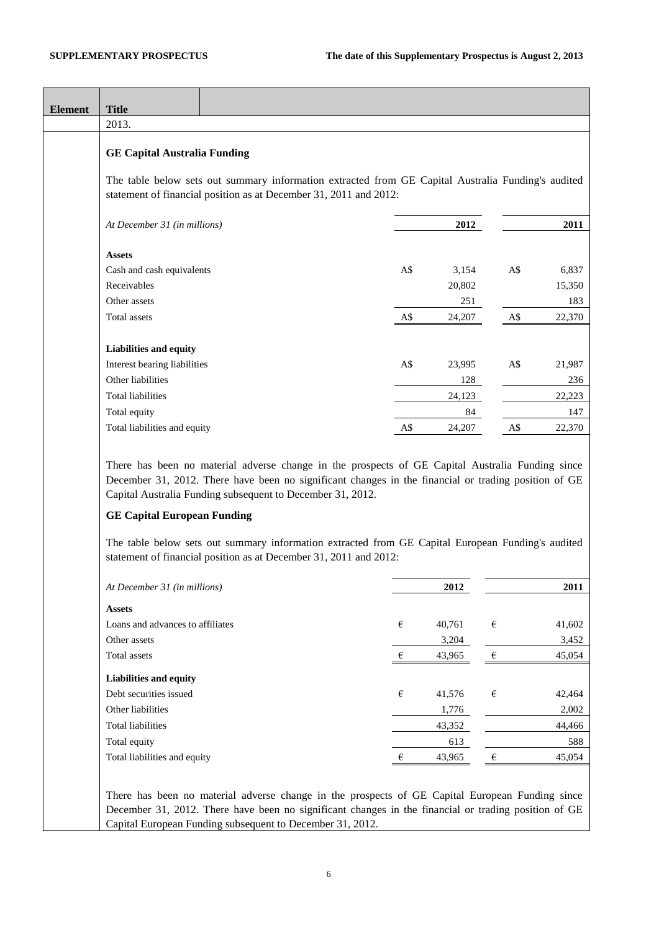| <b>Element</b> | <b>Title</b>                                                                                     |                                                                                                                                                                                                         |       |        |            |                 |
|----------------|--------------------------------------------------------------------------------------------------|---------------------------------------------------------------------------------------------------------------------------------------------------------------------------------------------------------|-------|--------|------------|-----------------|
|                | 2013.                                                                                            |                                                                                                                                                                                                         |       |        |            |                 |
|                | <b>GE Capital Australia Funding</b>                                                              |                                                                                                                                                                                                         |       |        |            |                 |
|                |                                                                                                  | The table below sets out summary information extracted from GE Capital Australia Funding's audited<br>statement of financial position as at December 31, 2011 and 2012:                                 |       |        |            |                 |
|                | At December 31 (in millions)                                                                     |                                                                                                                                                                                                         |       | 2012   |            | 2011            |
|                | <b>Assets</b>                                                                                    |                                                                                                                                                                                                         |       |        |            |                 |
|                | Cash and cash equivalents                                                                        |                                                                                                                                                                                                         | A\$   | 3,154  | A\$        | 6,837           |
|                | Receivables                                                                                      |                                                                                                                                                                                                         |       | 20,802 |            | 15,350          |
|                | Other assets                                                                                     |                                                                                                                                                                                                         |       | 251    |            | 183             |
|                | Total assets                                                                                     |                                                                                                                                                                                                         | A\$   | 24,207 | A\$        | 22,370          |
|                | Liabilities and equity                                                                           |                                                                                                                                                                                                         |       |        |            |                 |
|                | Interest bearing liabilities                                                                     |                                                                                                                                                                                                         | A\$   | 23,995 | A\$        | 21,987          |
|                | Other liabilities                                                                                |                                                                                                                                                                                                         |       | 128    |            | 236             |
|                | <b>Total liabilities</b>                                                                         |                                                                                                                                                                                                         |       | 24,123 |            | 22,223          |
|                | Total equity                                                                                     |                                                                                                                                                                                                         |       | 84     |            | 147             |
|                | Total liabilities and equity                                                                     |                                                                                                                                                                                                         | A\$   | 24,207 | A\$        | 22,370          |
|                | Capital Australia Funding subsequent to December 31, 2012.<br><b>GE Capital European Funding</b> | The table below sets out summary information extracted from GE Capital European Funding's audited<br>statement of financial position as at December 31, 2011 and 2012:                                  |       |        |            |                 |
|                | At December 31 (in millions)                                                                     |                                                                                                                                                                                                         |       | 2012   |            | 2011            |
|                |                                                                                                  |                                                                                                                                                                                                         |       |        |            |                 |
|                | <b>Assets</b>                                                                                    |                                                                                                                                                                                                         |       |        |            |                 |
|                | Loans and advances to affiliates<br>Other assets                                                 |                                                                                                                                                                                                         | €     | 40,761 | $\epsilon$ | 41,602          |
|                | Total assets                                                                                     |                                                                                                                                                                                                         | $\in$ | 3,204  | $\epsilon$ | 3,452<br>45,054 |
|                |                                                                                                  |                                                                                                                                                                                                         |       | 43,965 |            |                 |
|                | <b>Liabilities and equity</b>                                                                    |                                                                                                                                                                                                         |       |        |            |                 |
|                | Debt securities issued                                                                           |                                                                                                                                                                                                         | €     | 41,576 | €          | 42,464          |
|                | Other liabilities                                                                                |                                                                                                                                                                                                         |       | 1,776  |            | 2,002           |
|                | <b>Total liabilities</b>                                                                         |                                                                                                                                                                                                         |       | 43,352 |            | 44,466          |
|                | Total equity                                                                                     |                                                                                                                                                                                                         |       | 613    |            | 588             |
|                | Total liabilities and equity                                                                     |                                                                                                                                                                                                         | €     | 43,965 | $\epsilon$ | 45,054          |
|                | Capital European Funding subsequent to December 31, 2012.                                        | There has been no material adverse change in the prospects of GE Capital European Funding since<br>December 31, 2012. There have been no significant changes in the financial or trading position of GE |       |        |            |                 |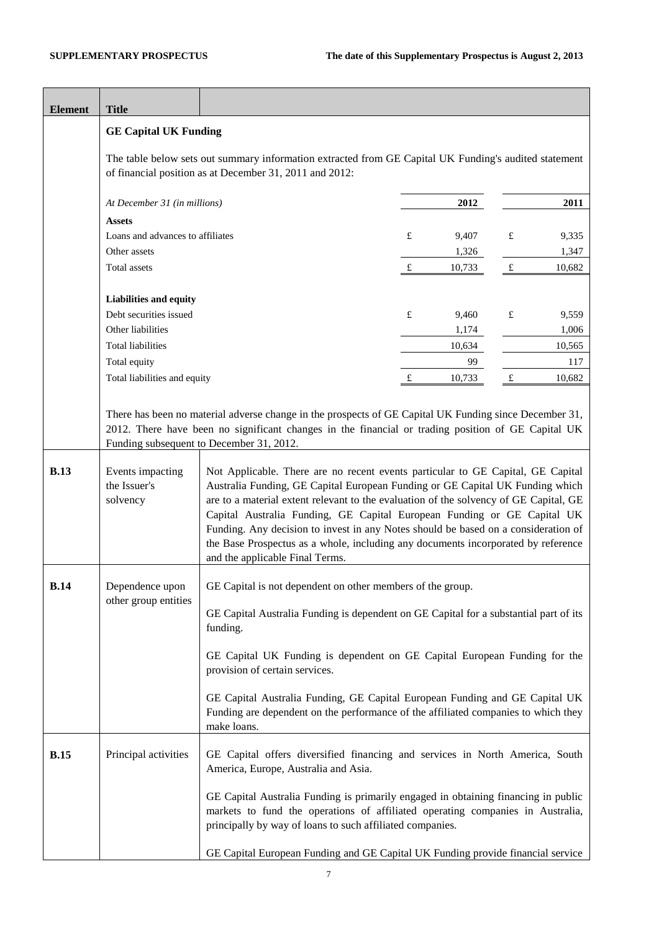| <b>Element</b> | <b>Title</b>                                                                                                                                                     |                                                                                                                                                                                                                                                                                                                                                                                                                                                                                        |             |        |           |        |
|----------------|------------------------------------------------------------------------------------------------------------------------------------------------------------------|----------------------------------------------------------------------------------------------------------------------------------------------------------------------------------------------------------------------------------------------------------------------------------------------------------------------------------------------------------------------------------------------------------------------------------------------------------------------------------------|-------------|--------|-----------|--------|
|                | <b>GE Capital UK Funding</b>                                                                                                                                     |                                                                                                                                                                                                                                                                                                                                                                                                                                                                                        |             |        |           |        |
|                | The table below sets out summary information extracted from GE Capital UK Funding's audited statement<br>of financial position as at December 31, 2011 and 2012: |                                                                                                                                                                                                                                                                                                                                                                                                                                                                                        |             |        |           |        |
|                | At December 31 (in millions)                                                                                                                                     |                                                                                                                                                                                                                                                                                                                                                                                                                                                                                        |             | 2012   |           | 2011   |
|                | <b>Assets</b>                                                                                                                                                    |                                                                                                                                                                                                                                                                                                                                                                                                                                                                                        |             |        |           |        |
|                | Loans and advances to affiliates                                                                                                                                 |                                                                                                                                                                                                                                                                                                                                                                                                                                                                                        | £           | 9,407  | $\pounds$ | 9,335  |
|                | Other assets                                                                                                                                                     |                                                                                                                                                                                                                                                                                                                                                                                                                                                                                        |             | 1,326  |           | 1,347  |
|                | Total assets                                                                                                                                                     |                                                                                                                                                                                                                                                                                                                                                                                                                                                                                        | $\mathbf f$ | 10,733 | f         | 10,682 |
|                | Liabilities and equity                                                                                                                                           |                                                                                                                                                                                                                                                                                                                                                                                                                                                                                        |             |        |           |        |
|                | Debt securities issued                                                                                                                                           |                                                                                                                                                                                                                                                                                                                                                                                                                                                                                        | £           | 9,460  | £         | 9,559  |
|                | Other liabilities                                                                                                                                                |                                                                                                                                                                                                                                                                                                                                                                                                                                                                                        |             | 1,174  |           | 1,006  |
|                | <b>Total liabilities</b>                                                                                                                                         |                                                                                                                                                                                                                                                                                                                                                                                                                                                                                        |             | 10,634 |           | 10,565 |
|                | Total equity                                                                                                                                                     |                                                                                                                                                                                                                                                                                                                                                                                                                                                                                        |             | 99     |           | 117    |
|                | Total liabilities and equity                                                                                                                                     |                                                                                                                                                                                                                                                                                                                                                                                                                                                                                        | £           | 10,733 | $\pounds$ | 10,682 |
| <b>B.13</b>    | Events impacting<br>the Issuer's<br>solvency                                                                                                                     | 2012. There have been no significant changes in the financial or trading position of GE Capital UK<br>Funding subsequent to December 31, 2012.<br>Not Applicable. There are no recent events particular to GE Capital, GE Capital<br>Australia Funding, GE Capital European Funding or GE Capital UK Funding which<br>are to a material extent relevant to the evaluation of the solvency of GE Capital, GE<br>Capital Australia Funding, GE Capital European Funding or GE Capital UK |             |        |           |        |
|                |                                                                                                                                                                  | Funding. Any decision to invest in any Notes should be based on a consideration of<br>the Base Prospectus as a whole, including any documents incorporated by reference<br>and the applicable Final Terms.                                                                                                                                                                                                                                                                             |             |        |           |        |
| <b>B.14</b>    | Dependence upon<br>other group entities                                                                                                                          | GE Capital is not dependent on other members of the group.<br>GE Capital Australia Funding is dependent on GE Capital for a substantial part of its                                                                                                                                                                                                                                                                                                                                    |             |        |           |        |
|                |                                                                                                                                                                  | funding.                                                                                                                                                                                                                                                                                                                                                                                                                                                                               |             |        |           |        |
|                |                                                                                                                                                                  | GE Capital UK Funding is dependent on GE Capital European Funding for the<br>provision of certain services.                                                                                                                                                                                                                                                                                                                                                                            |             |        |           |        |
|                |                                                                                                                                                                  | GE Capital Australia Funding, GE Capital European Funding and GE Capital UK<br>Funding are dependent on the performance of the affiliated companies to which they<br>make loans.                                                                                                                                                                                                                                                                                                       |             |        |           |        |
| <b>B.15</b>    | Principal activities                                                                                                                                             | GE Capital offers diversified financing and services in North America, South<br>America, Europe, Australia and Asia.                                                                                                                                                                                                                                                                                                                                                                   |             |        |           |        |
|                |                                                                                                                                                                  | GE Capital Australia Funding is primarily engaged in obtaining financing in public<br>markets to fund the operations of affiliated operating companies in Australia,<br>principally by way of loans to such affiliated companies.                                                                                                                                                                                                                                                      |             |        |           |        |
|                |                                                                                                                                                                  | GE Capital European Funding and GE Capital UK Funding provide financial service                                                                                                                                                                                                                                                                                                                                                                                                        |             |        |           |        |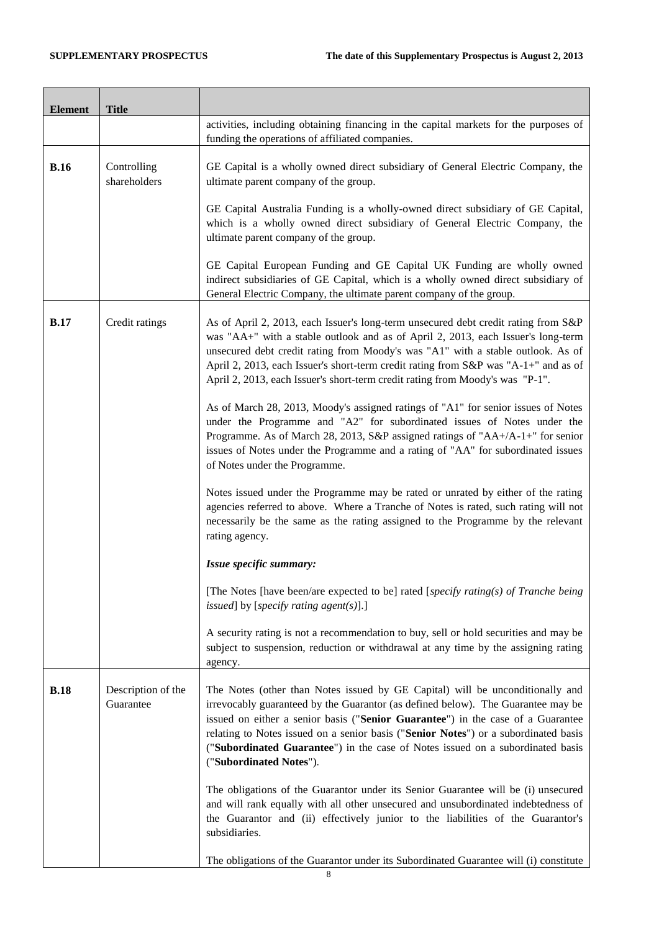| <b>Element</b> | <b>Title</b>                    |                                                                                                                                                                                                                                                                                                                                                                                                                                                          |
|----------------|---------------------------------|----------------------------------------------------------------------------------------------------------------------------------------------------------------------------------------------------------------------------------------------------------------------------------------------------------------------------------------------------------------------------------------------------------------------------------------------------------|
|                |                                 | activities, including obtaining financing in the capital markets for the purposes of<br>funding the operations of affiliated companies.                                                                                                                                                                                                                                                                                                                  |
| <b>B.16</b>    | Controlling<br>shareholders     | GE Capital is a wholly owned direct subsidiary of General Electric Company, the<br>ultimate parent company of the group.                                                                                                                                                                                                                                                                                                                                 |
|                |                                 | GE Capital Australia Funding is a wholly-owned direct subsidiary of GE Capital,<br>which is a wholly owned direct subsidiary of General Electric Company, the<br>ultimate parent company of the group.                                                                                                                                                                                                                                                   |
|                |                                 | GE Capital European Funding and GE Capital UK Funding are wholly owned<br>indirect subsidiaries of GE Capital, which is a wholly owned direct subsidiary of<br>General Electric Company, the ultimate parent company of the group.                                                                                                                                                                                                                       |
| <b>B.17</b>    | Credit ratings                  | As of April 2, 2013, each Issuer's long-term unsecured debt credit rating from S&P<br>was "AA+" with a stable outlook and as of April 2, 2013, each Issuer's long-term<br>unsecured debt credit rating from Moody's was "A1" with a stable outlook. As of<br>April 2, 2013, each Issuer's short-term credit rating from S&P was "A-1+" and as of<br>April 2, 2013, each Issuer's short-term credit rating from Moody's was "P-1".                        |
|                |                                 | As of March 28, 2013, Moody's assigned ratings of "A1" for senior issues of Notes<br>under the Programme and "A2" for subordinated issues of Notes under the<br>Programme. As of March 28, 2013, S&P assigned ratings of "AA+/A-1+" for senior<br>issues of Notes under the Programme and a rating of "AA" for subordinated issues<br>of Notes under the Programme.                                                                                      |
|                |                                 | Notes issued under the Programme may be rated or unrated by either of the rating<br>agencies referred to above. Where a Tranche of Notes is rated, such rating will not<br>necessarily be the same as the rating assigned to the Programme by the relevant<br>rating agency.                                                                                                                                                                             |
|                |                                 | Issue specific summary:                                                                                                                                                                                                                                                                                                                                                                                                                                  |
|                |                                 | [The Notes [have been/are expected to be] rated [specify rating(s) of Tranche being<br>issued] by [specify rating agent(s)].]                                                                                                                                                                                                                                                                                                                            |
|                |                                 | A security rating is not a recommendation to buy, sell or hold securities and may be<br>subject to suspension, reduction or withdrawal at any time by the assigning rating<br>agency.                                                                                                                                                                                                                                                                    |
| <b>B.18</b>    | Description of the<br>Guarantee | The Notes (other than Notes issued by GE Capital) will be unconditionally and<br>irrevocably guaranteed by the Guarantor (as defined below). The Guarantee may be<br>issued on either a senior basis ("Senior Guarantee") in the case of a Guarantee<br>relating to Notes issued on a senior basis ("Senior Notes") or a subordinated basis<br>("Subordinated Guarantee") in the case of Notes issued on a subordinated basis<br>("Subordinated Notes"). |
|                |                                 | The obligations of the Guarantor under its Senior Guarantee will be (i) unsecured<br>and will rank equally with all other unsecured and unsubordinated indebtedness of<br>the Guarantor and (ii) effectively junior to the liabilities of the Guarantor's<br>subsidiaries.                                                                                                                                                                               |
|                |                                 | The obligations of the Guarantor under its Subordinated Guarantee will (i) constitute                                                                                                                                                                                                                                                                                                                                                                    |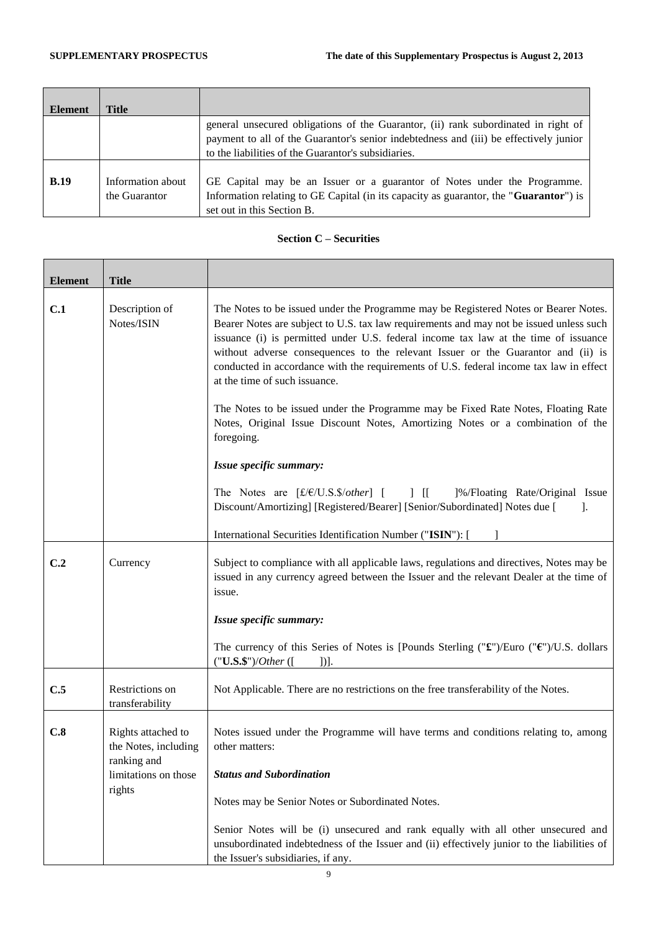| <b>Element</b> | Title             |                                                                                                |
|----------------|-------------------|------------------------------------------------------------------------------------------------|
|                |                   | general unsecured obligations of the Guarantor, (ii) rank subordinated in right of             |
|                |                   | payment to all of the Guarantor's senior indebtedness and (iii) be effectively junior          |
|                |                   | to the liabilities of the Guarantor's subsidiaries.                                            |
|                |                   |                                                                                                |
| <b>B.19</b>    | Information about | GE Capital may be an Issuer or a guarantor of Notes under the Programme.                       |
|                | the Guarantor     | Information relating to GE Capital (in its capacity as guarantor, the " <b>Guarantor</b> ") is |
|                |                   | set out in this Section B.                                                                     |

# **Section C – Securities**

| <b>Element</b> | <b>Title</b>                                              |                                                                                                                                                                                                                                                                                                                                                                                                                                                                                      |
|----------------|-----------------------------------------------------------|--------------------------------------------------------------------------------------------------------------------------------------------------------------------------------------------------------------------------------------------------------------------------------------------------------------------------------------------------------------------------------------------------------------------------------------------------------------------------------------|
| C.1            | Description of<br>Notes/ISIN                              | The Notes to be issued under the Programme may be Registered Notes or Bearer Notes.<br>Bearer Notes are subject to U.S. tax law requirements and may not be issued unless such<br>issuance (i) is permitted under U.S. federal income tax law at the time of issuance<br>without adverse consequences to the relevant Issuer or the Guarantor and (ii) is<br>conducted in accordance with the requirements of U.S. federal income tax law in effect<br>at the time of such issuance. |
|                |                                                           | The Notes to be issued under the Programme may be Fixed Rate Notes, Floating Rate<br>Notes, Original Issue Discount Notes, Amortizing Notes or a combination of the<br>foregoing.                                                                                                                                                                                                                                                                                                    |
|                |                                                           | Issue specific summary:                                                                                                                                                                                                                                                                                                                                                                                                                                                              |
|                |                                                           | The Notes are [£/€/U.S.\$/other] [ ] [[ ]%/Floating Rate/Original Issue<br>Discount/Amortizing] [Registered/Bearer] [Senior/Subordinated] Notes due [<br>-1.                                                                                                                                                                                                                                                                                                                         |
|                |                                                           | International Securities Identification Number ("ISIN"): [                                                                                                                                                                                                                                                                                                                                                                                                                           |
| C.2            | Currency                                                  | Subject to compliance with all applicable laws, regulations and directives, Notes may be<br>issued in any currency agreed between the Issuer and the relevant Dealer at the time of<br>issue.                                                                                                                                                                                                                                                                                        |
|                |                                                           | Issue specific summary:                                                                                                                                                                                                                                                                                                                                                                                                                                                              |
|                |                                                           | The currency of this Series of Notes is [Pounds Sterling (" $\mathbf{f}$ ")/Euro (" $\mathbf{f}$ ")/U.S. dollars<br>("U.S.\$")/Other ([<br>$]$ ].                                                                                                                                                                                                                                                                                                                                    |
| C.5            | Restrictions on<br>transferability                        | Not Applicable. There are no restrictions on the free transferability of the Notes.                                                                                                                                                                                                                                                                                                                                                                                                  |
| C.8            | Rights attached to<br>the Notes, including<br>ranking and | Notes issued under the Programme will have terms and conditions relating to, among<br>other matters:                                                                                                                                                                                                                                                                                                                                                                                 |
|                | limitations on those<br>rights                            | <b>Status and Subordination</b>                                                                                                                                                                                                                                                                                                                                                                                                                                                      |
|                |                                                           | Notes may be Senior Notes or Subordinated Notes.                                                                                                                                                                                                                                                                                                                                                                                                                                     |
|                |                                                           | Senior Notes will be (i) unsecured and rank equally with all other unsecured and<br>unsubordinated indebtedness of the Issuer and (ii) effectively junior to the liabilities of<br>the Issuer's subsidiaries, if any.                                                                                                                                                                                                                                                                |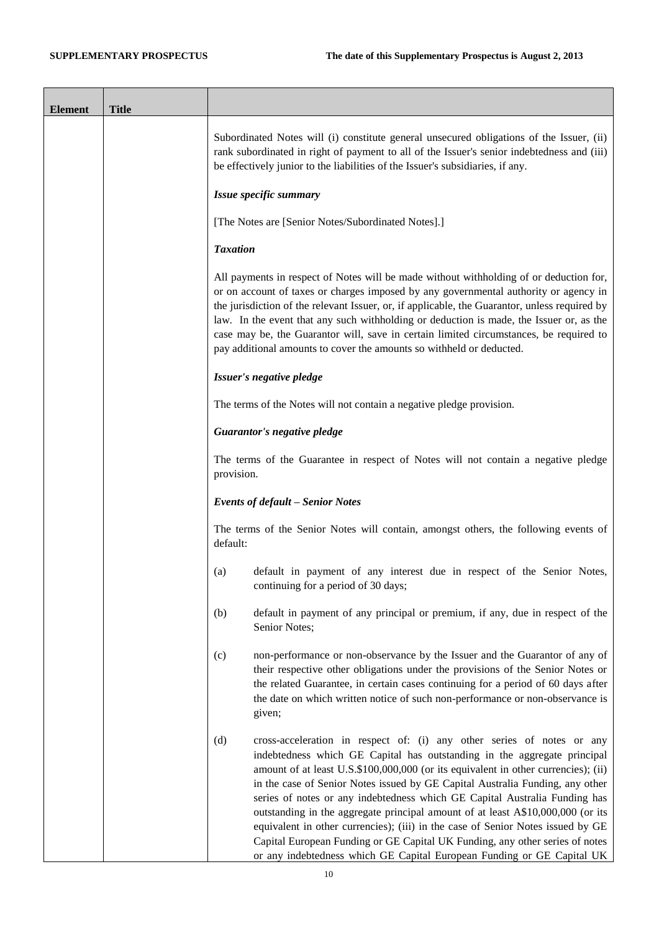$\blacksquare$ 

Ť.

| <b>Element</b> | <b>Title</b> |                                                                                                                                                                                                                                                                                                                                                                                                                                                                                                                                                                                                                                                                                                                                                |
|----------------|--------------|------------------------------------------------------------------------------------------------------------------------------------------------------------------------------------------------------------------------------------------------------------------------------------------------------------------------------------------------------------------------------------------------------------------------------------------------------------------------------------------------------------------------------------------------------------------------------------------------------------------------------------------------------------------------------------------------------------------------------------------------|
|                |              | Subordinated Notes will (i) constitute general unsecured obligations of the Issuer, (ii)<br>rank subordinated in right of payment to all of the Issuer's senior indebtedness and (iii)<br>be effectively junior to the liabilities of the Issuer's subsidiaries, if any.                                                                                                                                                                                                                                                                                                                                                                                                                                                                       |
|                |              | Issue specific summary                                                                                                                                                                                                                                                                                                                                                                                                                                                                                                                                                                                                                                                                                                                         |
|                |              | [The Notes are [Senior Notes/Subordinated Notes].]                                                                                                                                                                                                                                                                                                                                                                                                                                                                                                                                                                                                                                                                                             |
|                |              | <b>Taxation</b>                                                                                                                                                                                                                                                                                                                                                                                                                                                                                                                                                                                                                                                                                                                                |
|                |              | All payments in respect of Notes will be made without withholding of or deduction for,<br>or on account of taxes or charges imposed by any governmental authority or agency in<br>the jurisdiction of the relevant Issuer, or, if applicable, the Guarantor, unless required by<br>law. In the event that any such withholding or deduction is made, the Issuer or, as the<br>case may be, the Guarantor will, save in certain limited circumstances, be required to<br>pay additional amounts to cover the amounts so withheld or deducted.                                                                                                                                                                                                   |
|                |              | Issuer's negative pledge                                                                                                                                                                                                                                                                                                                                                                                                                                                                                                                                                                                                                                                                                                                       |
|                |              | The terms of the Notes will not contain a negative pledge provision.                                                                                                                                                                                                                                                                                                                                                                                                                                                                                                                                                                                                                                                                           |
|                |              | Guarantor's negative pledge                                                                                                                                                                                                                                                                                                                                                                                                                                                                                                                                                                                                                                                                                                                    |
|                |              | The terms of the Guarantee in respect of Notes will not contain a negative pledge<br>provision.                                                                                                                                                                                                                                                                                                                                                                                                                                                                                                                                                                                                                                                |
|                |              | <b>Events of default - Senior Notes</b>                                                                                                                                                                                                                                                                                                                                                                                                                                                                                                                                                                                                                                                                                                        |
|                |              | The terms of the Senior Notes will contain, amongst others, the following events of<br>default:                                                                                                                                                                                                                                                                                                                                                                                                                                                                                                                                                                                                                                                |
|                |              | default in payment of any interest due in respect of the Senior Notes,<br>(a)<br>continuing for a period of 30 days;                                                                                                                                                                                                                                                                                                                                                                                                                                                                                                                                                                                                                           |
|                |              | (b)<br>default in payment of any principal or premium, if any, due in respect of the<br>Senior Notes;                                                                                                                                                                                                                                                                                                                                                                                                                                                                                                                                                                                                                                          |
|                |              | (c)<br>non-performance or non-observance by the Issuer and the Guarantor of any of<br>their respective other obligations under the provisions of the Senior Notes or<br>the related Guarantee, in certain cases continuing for a period of 60 days after<br>the date on which written notice of such non-performance or non-observance is<br>given;                                                                                                                                                                                                                                                                                                                                                                                            |
|                |              | cross-acceleration in respect of: (i) any other series of notes or any<br>(d)<br>indebtedness which GE Capital has outstanding in the aggregate principal<br>amount of at least U.S.\$100,000,000 (or its equivalent in other currencies); (ii)<br>in the case of Senior Notes issued by GE Capital Australia Funding, any other<br>series of notes or any indebtedness which GE Capital Australia Funding has<br>outstanding in the aggregate principal amount of at least A\$10,000,000 (or its<br>equivalent in other currencies); (iii) in the case of Senior Notes issued by GE<br>Capital European Funding or GE Capital UK Funding, any other series of notes<br>or any indebtedness which GE Capital European Funding or GE Capital UK |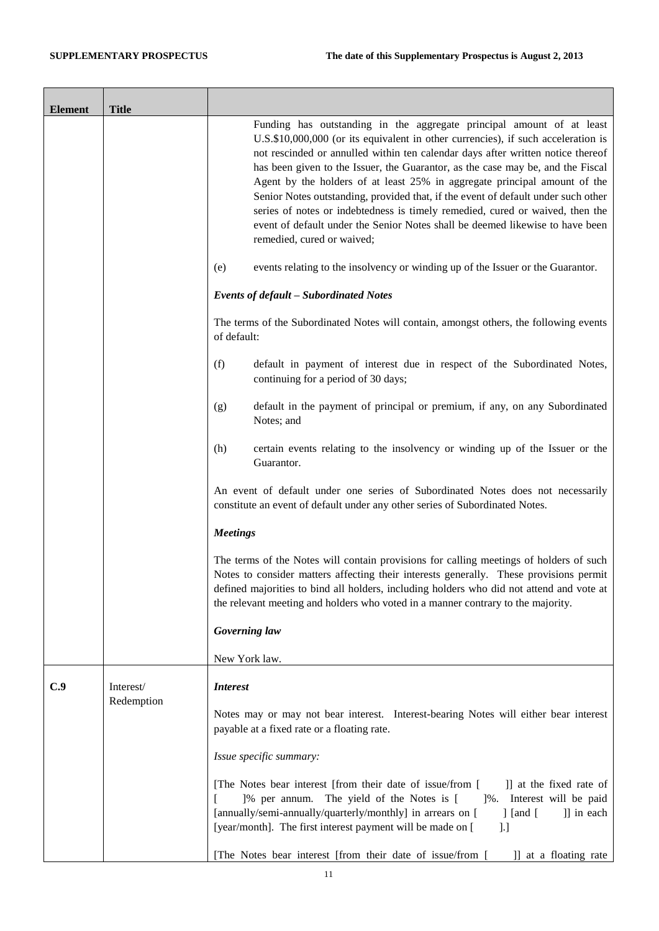| <b>Element</b> | <b>Title</b>            |                                                                                                                                                                                                                                                                                                                                                                                                                                                                                                                                                                                                                                                                                                    |
|----------------|-------------------------|----------------------------------------------------------------------------------------------------------------------------------------------------------------------------------------------------------------------------------------------------------------------------------------------------------------------------------------------------------------------------------------------------------------------------------------------------------------------------------------------------------------------------------------------------------------------------------------------------------------------------------------------------------------------------------------------------|
|                |                         | Funding has outstanding in the aggregate principal amount of at least<br>U.S.\$10,000,000 (or its equivalent in other currencies), if such acceleration is<br>not rescinded or annulled within ten calendar days after written notice thereof<br>has been given to the Issuer, the Guarantor, as the case may be, and the Fiscal<br>Agent by the holders of at least 25% in aggregate principal amount of the<br>Senior Notes outstanding, provided that, if the event of default under such other<br>series of notes or indebtedness is timely remedied, cured or waived, then the<br>event of default under the Senior Notes shall be deemed likewise to have been<br>remedied, cured or waived; |
|                |                         | (e)<br>events relating to the insolvency or winding up of the Issuer or the Guarantor.                                                                                                                                                                                                                                                                                                                                                                                                                                                                                                                                                                                                             |
|                |                         | <b>Events of default - Subordinated Notes</b>                                                                                                                                                                                                                                                                                                                                                                                                                                                                                                                                                                                                                                                      |
|                |                         | The terms of the Subordinated Notes will contain, amongst others, the following events<br>of default:                                                                                                                                                                                                                                                                                                                                                                                                                                                                                                                                                                                              |
|                |                         | default in payment of interest due in respect of the Subordinated Notes,<br>(f)<br>continuing for a period of 30 days;                                                                                                                                                                                                                                                                                                                                                                                                                                                                                                                                                                             |
|                |                         | default in the payment of principal or premium, if any, on any Subordinated<br>(g)<br>Notes; and                                                                                                                                                                                                                                                                                                                                                                                                                                                                                                                                                                                                   |
|                |                         | certain events relating to the insolvency or winding up of the Issuer or the<br>(h)<br>Guarantor.                                                                                                                                                                                                                                                                                                                                                                                                                                                                                                                                                                                                  |
|                |                         | An event of default under one series of Subordinated Notes does not necessarily<br>constitute an event of default under any other series of Subordinated Notes.                                                                                                                                                                                                                                                                                                                                                                                                                                                                                                                                    |
|                |                         | <b>Meetings</b>                                                                                                                                                                                                                                                                                                                                                                                                                                                                                                                                                                                                                                                                                    |
|                |                         | The terms of the Notes will contain provisions for calling meetings of holders of such<br>Notes to consider matters affecting their interests generally. These provisions permit<br>defined majorities to bind all holders, including holders who did not attend and vote at<br>the relevant meeting and holders who voted in a manner contrary to the majority.                                                                                                                                                                                                                                                                                                                                   |
|                |                         | Governing law                                                                                                                                                                                                                                                                                                                                                                                                                                                                                                                                                                                                                                                                                      |
|                |                         | New York law.                                                                                                                                                                                                                                                                                                                                                                                                                                                                                                                                                                                                                                                                                      |
| C.9            | Interest/<br>Redemption | <b>Interest</b>                                                                                                                                                                                                                                                                                                                                                                                                                                                                                                                                                                                                                                                                                    |
|                |                         | Notes may or may not bear interest. Interest-bearing Notes will either bear interest<br>payable at a fixed rate or a floating rate.                                                                                                                                                                                                                                                                                                                                                                                                                                                                                                                                                                |
|                |                         | Issue specific summary:                                                                                                                                                                                                                                                                                                                                                                                                                                                                                                                                                                                                                                                                            |
|                |                         | [The Notes bear interest [from their date of issue/from [<br>]] at the fixed rate of<br>]% per annum. The yield of the Notes is [<br>]%. Interest will be paid<br>I<br>[annually/semi-annually/quarterly/monthly] in arrears on [<br>$\int$ [and $\int$ ]<br>]] in each<br>[year/month]. The first interest payment will be made on [<br>].]                                                                                                                                                                                                                                                                                                                                                       |
|                |                         | [The Notes bear interest [from their date of issue/from [<br>]] at a floating rate                                                                                                                                                                                                                                                                                                                                                                                                                                                                                                                                                                                                                 |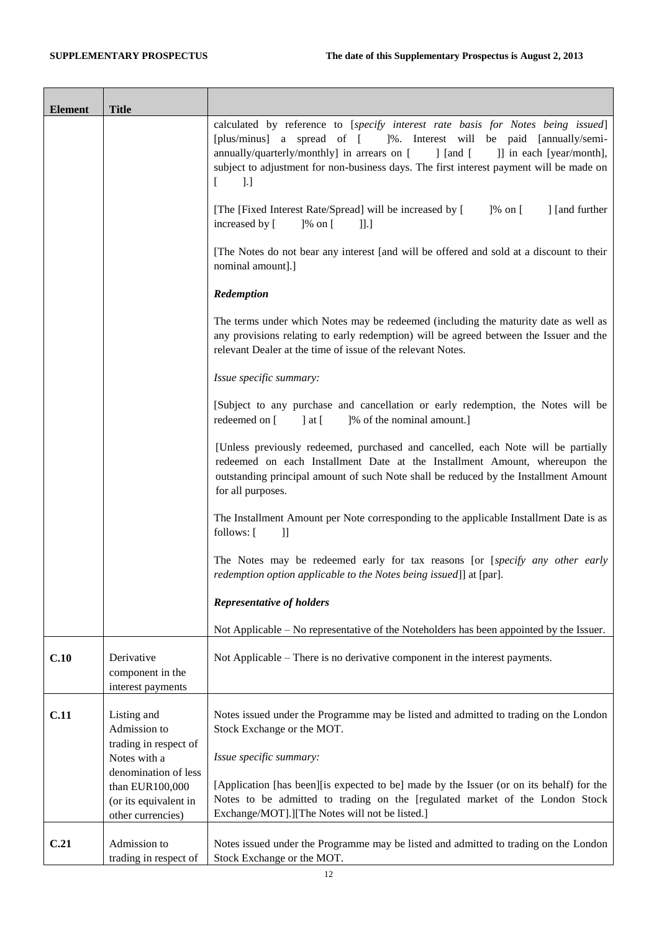| <b>Element</b> | <b>Title</b>                                                                          |                                                                                                                                                                                                                                                                                                                                                                        |
|----------------|---------------------------------------------------------------------------------------|------------------------------------------------------------------------------------------------------------------------------------------------------------------------------------------------------------------------------------------------------------------------------------------------------------------------------------------------------------------------|
|                |                                                                                       | calculated by reference to [specify interest rate basis for Notes being issued]<br>[plus/minus] a spread of [<br>]%. Interest will be paid [annually/semi-<br>annually/quarterly/monthly] in arrears on [<br>] [and [<br>]] in each [year/month],<br>subject to adjustment for non-business days. The first interest payment will be made on<br>$\lbrack$ .]<br>$\Box$ |
|                |                                                                                       | [The [Fixed Interest Rate/Spread] will be increased by [<br>$]$ % on [<br>] [and further<br>increased by [<br>$]$ % on [<br>$\prod$                                                                                                                                                                                                                                    |
|                |                                                                                       | [The Notes do not bear any interest [and will be offered and sold at a discount to their<br>nominal amount].]                                                                                                                                                                                                                                                          |
|                |                                                                                       | Redemption                                                                                                                                                                                                                                                                                                                                                             |
|                |                                                                                       | The terms under which Notes may be redeemed (including the maturity date as well as<br>any provisions relating to early redemption) will be agreed between the Issuer and the<br>relevant Dealer at the time of issue of the relevant Notes.                                                                                                                           |
|                |                                                                                       | Issue specific summary:                                                                                                                                                                                                                                                                                                                                                |
|                |                                                                                       | [Subject to any purchase and cancellation or early redemption, the Notes will be<br>]% of the nominal amount.]<br>redeemed on [<br>$\cdot$ at [                                                                                                                                                                                                                        |
|                |                                                                                       | [Unless previously redeemed, purchased and cancelled, each Note will be partially<br>redeemed on each Installment Date at the Installment Amount, whereupon the<br>outstanding principal amount of such Note shall be reduced by the Installment Amount<br>for all purposes.                                                                                           |
|                |                                                                                       | The Installment Amount per Note corresponding to the applicable Installment Date is as<br>follows: [<br>$\exists$                                                                                                                                                                                                                                                      |
|                |                                                                                       | The Notes may be redeemed early for tax reasons [or [specify any other early<br>redemption option applicable to the Notes being issued]] at [par].                                                                                                                                                                                                                     |
|                |                                                                                       | <b>Representative of holders</b>                                                                                                                                                                                                                                                                                                                                       |
|                |                                                                                       | Not Applicable – No representative of the Noteholders has been appointed by the Issuer.                                                                                                                                                                                                                                                                                |
| C.10           | Derivative<br>component in the<br>interest payments                                   | Not Applicable – There is no derivative component in the interest payments.                                                                                                                                                                                                                                                                                            |
| C.11           | Listing and<br>Admission to<br>trading in respect of<br>Notes with a                  | Notes issued under the Programme may be listed and admitted to trading on the London<br>Stock Exchange or the MOT.<br>Issue specific summary:                                                                                                                                                                                                                          |
|                | denomination of less<br>than EUR100,000<br>(or its equivalent in<br>other currencies) | [Application [has been][is expected to be] made by the Issuer (or on its behalf) for the<br>Notes to be admitted to trading on the [regulated market of the London Stock<br>Exchange/MOT].][The Notes will not be listed.]                                                                                                                                             |
| C.21           | Admission to<br>trading in respect of                                                 | Notes issued under the Programme may be listed and admitted to trading on the London<br>Stock Exchange or the MOT.                                                                                                                                                                                                                                                     |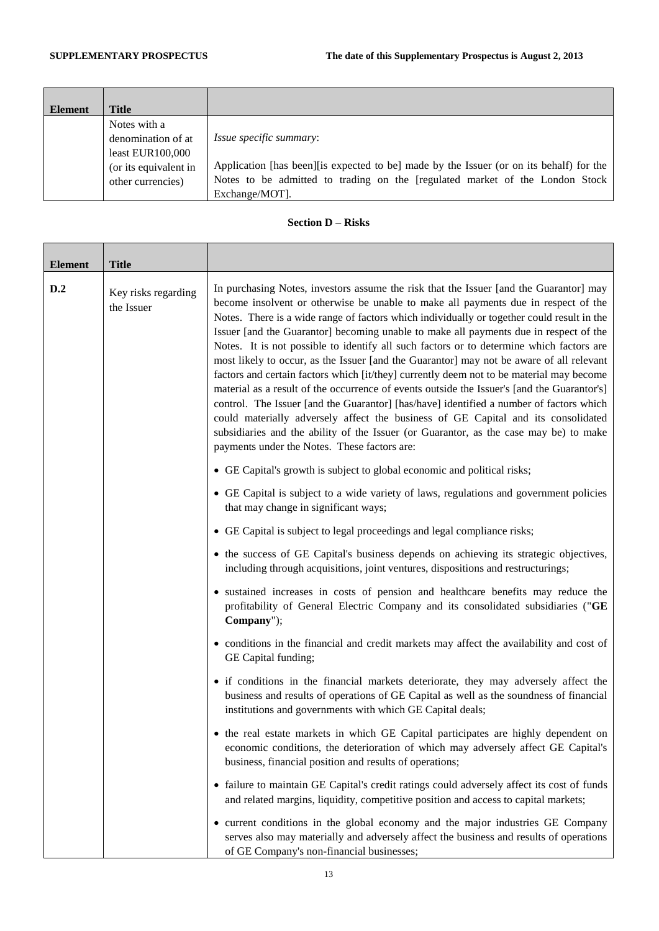| Element | Title                                                                                                  |                                                                                                                                                                                                                              |
|---------|--------------------------------------------------------------------------------------------------------|------------------------------------------------------------------------------------------------------------------------------------------------------------------------------------------------------------------------------|
|         | Notes with a<br>denomination of at<br>least $EUR100,000$<br>(or its equivalent in<br>other currencies) | <i>Issue specific summary:</i><br>Application [has been] [is expected to be] made by the Issuer (or on its behalf) for the<br>Notes to be admitted to trading on the [regulated market of the London Stock<br>Exchange/MOT]. |

### **Section D – Risks**

| <b>Element</b> | <b>Title</b>                      |                                                                                                                                                                                                                                                                                                                                                                                                                                                                                                                                                                                                                                                                                                                                                                                                                                                                                                                                                                                                                                                                                 |
|----------------|-----------------------------------|---------------------------------------------------------------------------------------------------------------------------------------------------------------------------------------------------------------------------------------------------------------------------------------------------------------------------------------------------------------------------------------------------------------------------------------------------------------------------------------------------------------------------------------------------------------------------------------------------------------------------------------------------------------------------------------------------------------------------------------------------------------------------------------------------------------------------------------------------------------------------------------------------------------------------------------------------------------------------------------------------------------------------------------------------------------------------------|
| D.2            | Key risks regarding<br>the Issuer | In purchasing Notes, investors assume the risk that the Issuer [and the Guarantor] may<br>become insolvent or otherwise be unable to make all payments due in respect of the<br>Notes. There is a wide range of factors which individually or together could result in the<br>Issuer [and the Guarantor] becoming unable to make all payments due in respect of the<br>Notes. It is not possible to identify all such factors or to determine which factors are<br>most likely to occur, as the Issuer [and the Guarantor] may not be aware of all relevant<br>factors and certain factors which [it/they] currently deem not to be material may become<br>material as a result of the occurrence of events outside the Issuer's [and the Guarantor's]<br>control. The Issuer [and the Guarantor] [has/have] identified a number of factors which<br>could materially adversely affect the business of GE Capital and its consolidated<br>subsidiaries and the ability of the Issuer (or Guarantor, as the case may be) to make<br>payments under the Notes. These factors are: |
|                |                                   | • GE Capital's growth is subject to global economic and political risks;                                                                                                                                                                                                                                                                                                                                                                                                                                                                                                                                                                                                                                                                                                                                                                                                                                                                                                                                                                                                        |
|                |                                   | • GE Capital is subject to a wide variety of laws, regulations and government policies<br>that may change in significant ways;                                                                                                                                                                                                                                                                                                                                                                                                                                                                                                                                                                                                                                                                                                                                                                                                                                                                                                                                                  |
|                |                                   | • GE Capital is subject to legal proceedings and legal compliance risks;                                                                                                                                                                                                                                                                                                                                                                                                                                                                                                                                                                                                                                                                                                                                                                                                                                                                                                                                                                                                        |
|                |                                   | • the success of GE Capital's business depends on achieving its strategic objectives,<br>including through acquisitions, joint ventures, dispositions and restructurings;                                                                                                                                                                                                                                                                                                                                                                                                                                                                                                                                                                                                                                                                                                                                                                                                                                                                                                       |
|                |                                   | • sustained increases in costs of pension and healthcare benefits may reduce the<br>profitability of General Electric Company and its consolidated subsidiaries ("GE<br>Company");                                                                                                                                                                                                                                                                                                                                                                                                                                                                                                                                                                                                                                                                                                                                                                                                                                                                                              |
|                |                                   | • conditions in the financial and credit markets may affect the availability and cost of<br>GE Capital funding;                                                                                                                                                                                                                                                                                                                                                                                                                                                                                                                                                                                                                                                                                                                                                                                                                                                                                                                                                                 |
|                |                                   | • if conditions in the financial markets deteriorate, they may adversely affect the<br>business and results of operations of GE Capital as well as the soundness of financial<br>institutions and governments with which GE Capital deals;                                                                                                                                                                                                                                                                                                                                                                                                                                                                                                                                                                                                                                                                                                                                                                                                                                      |
|                |                                   | • the real estate markets in which GE Capital participates are highly dependent on<br>economic conditions, the deterioration of which may adversely affect GE Capital's<br>business, financial position and results of operations;                                                                                                                                                                                                                                                                                                                                                                                                                                                                                                                                                                                                                                                                                                                                                                                                                                              |
|                |                                   | • failure to maintain GE Capital's credit ratings could adversely affect its cost of funds<br>and related margins, liquidity, competitive position and access to capital markets;                                                                                                                                                                                                                                                                                                                                                                                                                                                                                                                                                                                                                                                                                                                                                                                                                                                                                               |
|                |                                   | • current conditions in the global economy and the major industries GE Company<br>serves also may materially and adversely affect the business and results of operations<br>of GE Company's non-financial businesses;                                                                                                                                                                                                                                                                                                                                                                                                                                                                                                                                                                                                                                                                                                                                                                                                                                                           |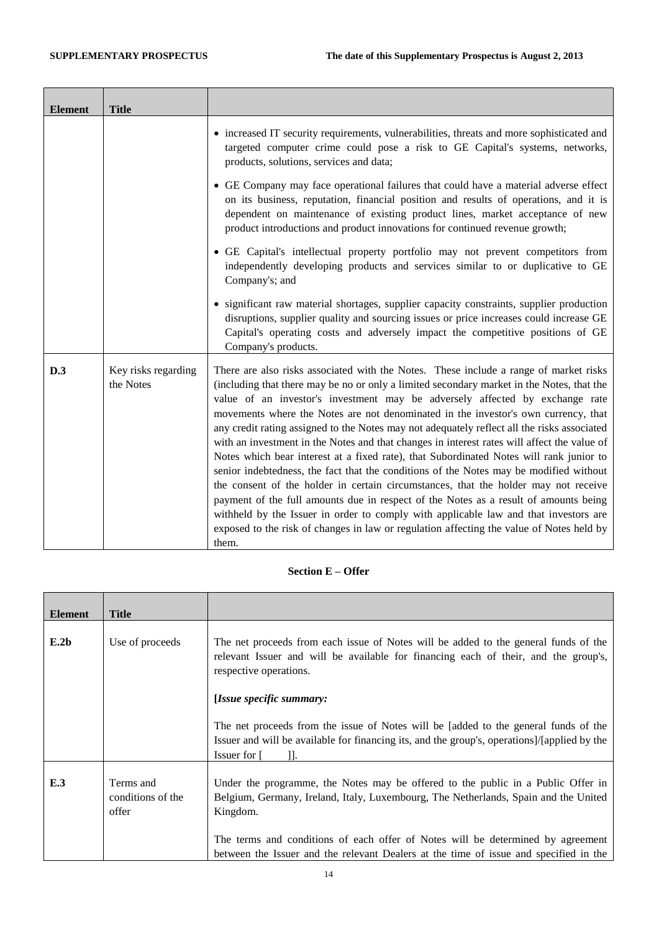ř.

| <b>Element</b> | <b>Title</b>                     |                                                                                                                                                                                                                                                                                                                                                                                                                                                                                                                                                                                                                                                                                                                                                                                                                                                                                                                                                                                                                                                                                                                         |
|----------------|----------------------------------|-------------------------------------------------------------------------------------------------------------------------------------------------------------------------------------------------------------------------------------------------------------------------------------------------------------------------------------------------------------------------------------------------------------------------------------------------------------------------------------------------------------------------------------------------------------------------------------------------------------------------------------------------------------------------------------------------------------------------------------------------------------------------------------------------------------------------------------------------------------------------------------------------------------------------------------------------------------------------------------------------------------------------------------------------------------------------------------------------------------------------|
|                |                                  | • increased IT security requirements, vulnerabilities, threats and more sophisticated and<br>targeted computer crime could pose a risk to GE Capital's systems, networks,<br>products, solutions, services and data;                                                                                                                                                                                                                                                                                                                                                                                                                                                                                                                                                                                                                                                                                                                                                                                                                                                                                                    |
|                |                                  | • GE Company may face operational failures that could have a material adverse effect<br>on its business, reputation, financial position and results of operations, and it is<br>dependent on maintenance of existing product lines, market acceptance of new<br>product introductions and product innovations for continued revenue growth;                                                                                                                                                                                                                                                                                                                                                                                                                                                                                                                                                                                                                                                                                                                                                                             |
|                |                                  | • GE Capital's intellectual property portfolio may not prevent competitors from<br>independently developing products and services similar to or duplicative to GE<br>Company's; and                                                                                                                                                                                                                                                                                                                                                                                                                                                                                                                                                                                                                                                                                                                                                                                                                                                                                                                                     |
|                |                                  | • significant raw material shortages, supplier capacity constraints, supplier production<br>disruptions, supplier quality and sourcing issues or price increases could increase GE<br>Capital's operating costs and adversely impact the competitive positions of GE<br>Company's products.                                                                                                                                                                                                                                                                                                                                                                                                                                                                                                                                                                                                                                                                                                                                                                                                                             |
| D.3            | Key risks regarding<br>the Notes | There are also risks associated with the Notes. These include a range of market risks<br>(including that there may be no or only a limited secondary market in the Notes, that the<br>value of an investor's investment may be adversely affected by exchange rate<br>movements where the Notes are not denominated in the investor's own currency, that<br>any credit rating assigned to the Notes may not adequately reflect all the risks associated<br>with an investment in the Notes and that changes in interest rates will affect the value of<br>Notes which bear interest at a fixed rate), that Subordinated Notes will rank junior to<br>senior indebtedness, the fact that the conditions of the Notes may be modified without<br>the consent of the holder in certain circumstances, that the holder may not receive<br>payment of the full amounts due in respect of the Notes as a result of amounts being<br>withheld by the Issuer in order to comply with applicable law and that investors are<br>exposed to the risk of changes in law or regulation affecting the value of Notes held by<br>them. |

# **Section E – Offer**

| <b>Element</b> | <b>Title</b>                            |                                                                                                                                                                                                                                                                        |
|----------------|-----------------------------------------|------------------------------------------------------------------------------------------------------------------------------------------------------------------------------------------------------------------------------------------------------------------------|
| E.2b           | Use of proceeds                         | The net proceeds from each issue of Notes will be added to the general funds of the<br>relevant Issuer and will be available for financing each of their, and the group's,<br>respective operations.                                                                   |
|                |                                         | [Issue specific summary:                                                                                                                                                                                                                                               |
|                |                                         | The net proceeds from the issue of Notes will be [added to the general funds of the<br>Issuer and will be available for financing its, and the group's, operations]/[applied by the<br>Issuer for [<br>11.                                                             |
| E.3            | Terms and<br>conditions of the<br>offer | Under the programme, the Notes may be offered to the public in a Public Offer in<br>Belgium, Germany, Ireland, Italy, Luxembourg, The Netherlands, Spain and the United<br>Kingdom.<br>The terms and conditions of each offer of Notes will be determined by agreement |
|                |                                         | between the Issuer and the relevant Dealers at the time of issue and specified in the                                                                                                                                                                                  |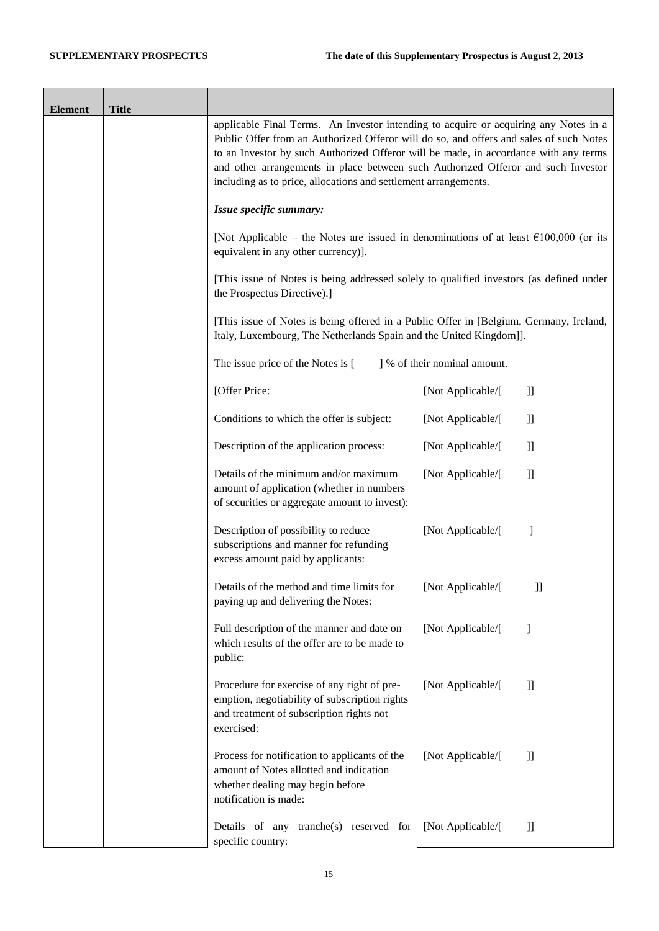$\overline{\phantom{a}}$ 

| <b>Element</b> | <b>Title</b> |                                                                                                                                                                                                                                                                                                                                                                                                                                |                              |               |
|----------------|--------------|--------------------------------------------------------------------------------------------------------------------------------------------------------------------------------------------------------------------------------------------------------------------------------------------------------------------------------------------------------------------------------------------------------------------------------|------------------------------|---------------|
|                |              | applicable Final Terms. An Investor intending to acquire or acquiring any Notes in a<br>Public Offer from an Authorized Offeror will do so, and offers and sales of such Notes<br>to an Investor by such Authorized Offeror will be made, in accordance with any terms<br>and other arrangements in place between such Authorized Offeror and such Investor<br>including as to price, allocations and settlement arrangements. |                              |               |
|                |              | Issue specific summary:                                                                                                                                                                                                                                                                                                                                                                                                        |                              |               |
|                |              | [Not Applicable – the Notes are issued in denominations of at least $\epsilon$ 100,000 (or its<br>equivalent in any other currency)].                                                                                                                                                                                                                                                                                          |                              |               |
|                |              | [This issue of Notes is being addressed solely to qualified investors (as defined under<br>the Prospectus Directive).]                                                                                                                                                                                                                                                                                                         |                              |               |
|                |              | [This issue of Notes is being offered in a Public Offer in [Belgium, Germany, Ireland,<br>Italy, Luxembourg, The Netherlands Spain and the United Kingdom]].                                                                                                                                                                                                                                                                   |                              |               |
|                |              | The issue price of the Notes is [                                                                                                                                                                                                                                                                                                                                                                                              | ] % of their nominal amount. |               |
|                |              | [Offer Price:                                                                                                                                                                                                                                                                                                                                                                                                                  | [Not Applicable/[            | $\mathbf{I}$  |
|                |              | Conditions to which the offer is subject:                                                                                                                                                                                                                                                                                                                                                                                      | [Not Applicable/[            | $\mathbf{ll}$ |
|                |              | Description of the application process:                                                                                                                                                                                                                                                                                                                                                                                        | [Not Applicable/[            | $\mathbf{I}$  |
|                |              | Details of the minimum and/or maximum<br>amount of application (whether in numbers<br>of securities or aggregate amount to invest):                                                                                                                                                                                                                                                                                            | [Not Applicable/[            | $\mathbf{I}$  |
|                |              | Description of possibility to reduce<br>subscriptions and manner for refunding<br>excess amount paid by applicants:                                                                                                                                                                                                                                                                                                            | [Not Applicable/[            | -1            |
|                |              | Details of the method and time limits for<br>paying up and delivering the Notes:                                                                                                                                                                                                                                                                                                                                               | [Not Applicable/[            | $]$           |
|                |              | Full description of the manner and date on<br>which results of the offer are to be made to<br>public:                                                                                                                                                                                                                                                                                                                          | [Not Applicable/[            | 1             |
|                |              | Procedure for exercise of any right of pre-<br>emption, negotiability of subscription rights<br>and treatment of subscription rights not<br>exercised:                                                                                                                                                                                                                                                                         | [Not Applicable/[            | $\mathbf{ll}$ |
|                |              | Process for notification to applicants of the<br>amount of Notes allotted and indication<br>whether dealing may begin before<br>notification is made:                                                                                                                                                                                                                                                                          | [Not Applicable/[            | $\mathbf{1}$  |
|                |              | Details of any tranche(s) reserved for [Not Applicable/[<br>specific country:                                                                                                                                                                                                                                                                                                                                                  |                              | $\mathbf{I}$  |